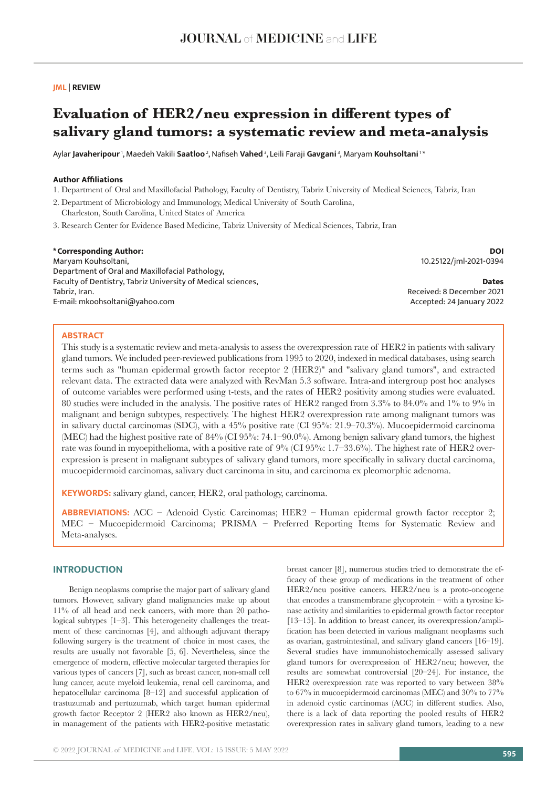# **JML | REVIEW**

# **Evaluation of HER2/neu expression in different types of salivary gland tumors: a systematic review and meta-analysis**

Aylar **Javaheripour** 1, Maedeh Vakili **Saatloo**<sup>2</sup>, Nafiseh **Vahed** 3, Leili Faraji **Gavgani** 3, Maryam **Kouhsoltani** 1 \*

# **Author Affiliations**

- 1. Department of Oral and Maxillofacial Pathology, Faculty of Dentistry, Tabriz University of Medical Sciences, Tabriz, Iran
- 2. Department of Microbiology and Immunology, Medical University of South Carolina, Charleston, South Carolina, United States of America
- 3. Research Center for Evidence Based Medicine, Tabriz University of Medical Sciences, Tabriz, Iran

#### **\*Corresponding Author:** Maryam Kouhsoltani, Department of Oral and Maxillofacial Pathology, Faculty of Dentistry, Tabriz University of Medical sciences, Tabriz, Iran. E-mail: mkoohsoltani@yahoo.com **DOI** 10.25122/jml-2021-0394 **Dates** Received: 8 December 2021 Accepted: 24 January 2022

#### **ABSTRACT**

This study is a systematic review and meta-analysis to assess the overexpression rate of HER2 in patients with salivary gland tumors. We included peer-reviewed publications from 1995 to 2020, indexed in medical databases, using search terms such as "human epidermal growth factor receptor 2 (HER2)" and "salivary gland tumors", and extracted relevant data. The extracted data were analyzed with RevMan 5.3 software. Intra-and intergroup post hoc analyses of outcome variables were performed using t-tests, and the rates of HER2 positivity among studies were evaluated. 80 studies were included in the analysis. The positive rates of HER2 ranged from 3.3% to 84.0% and 1% to 9% in malignant and benign subtypes, respectively. The highest HER2 overexpression rate among malignant tumors was in salivary ductal carcinomas (SDC), with a 45% positive rate (CI 95%: 21.9–70.3%). Mucoepidermoid carcinoma (MEC) had the highest positive rate of 84% (CI 95%: 74.1–90.0%). Among benign salivary gland tumors, the highest rate was found in myoepithelioma, with a positive rate of 9% (CI 95%: 1.7–33.6%). The highest rate of HER2 overexpression is present in malignant subtypes of salivary gland tumors, more specifically in salivary ductal carcinoma, mucoepidermoid carcinomas, salivary duct carcinoma in situ, and carcinoma ex pleomorphic adenoma.

**KEYWORDS:** salivary gland, cancer, HER2, oral pathology, carcinoma.

**ABBREVIATIONS:** ACC – Adenoid Cystic Carcinomas; HER2 – Human epidermal growth factor receptor 2; MEC – Mucoepidermoid Carcinoma; PRISMA – Preferred Reporting Items for Systematic Review and Meta-analyses.

# **INTRODUCTION**

Benign neoplasms comprise the major part of salivary gland tumors. However, salivary gland malignancies make up about 11% of all head and neck cancers, with more than 20 pathological subtypes [1–3]. This heterogeneity challenges the treatment of these carcinomas [4], and although adjuvant therapy following surgery is the treatment of choice in most cases, the results are usually not favorable [5, 6]. Nevertheless, since the emergence of modern, effective molecular targeted therapies for various types of cancers [7], such as breast cancer, non-small cell lung cancer, acute myeloid leukemia, renal cell carcinoma, and hepatocellular carcinoma [8–12] and successful application of trastuzumab and pertuzumab, which target human epidermal growth factor Receptor 2 (HER2 also known as HER2/neu), in management of the patients with HER2-positive metastatic

breast cancer [8], numerous studies tried to demonstrate the efficacy of these group of medications in the treatment of other HER2/neu positive cancers. HER2/neu is a proto-oncogene that encodes a transmembrane glycoprotein – with a tyrosine kinase activity and similarities to epidermal growth factor receptor [13–15]. In addition to breast cancer, its overexpression/amplification has been detected in various malignant neoplasms such as ovarian, gastrointestinal, and salivary gland cancers [16–19]. Several studies have immunohistochemically assessed salivary gland tumors for overexpression of HER2/neu; however, the results are somewhat controversial [20–24]. For instance, the HER2 overexpression rate was reported to vary between 38% to 67% in mucoepidermoid carcinomas (MEC) and 30% to 77% in adenoid cystic carcinomas (ACC) in different studies. Also, there is a lack of data reporting the pooled results of HER2 overexpression rates in salivary gland tumors, leading to a new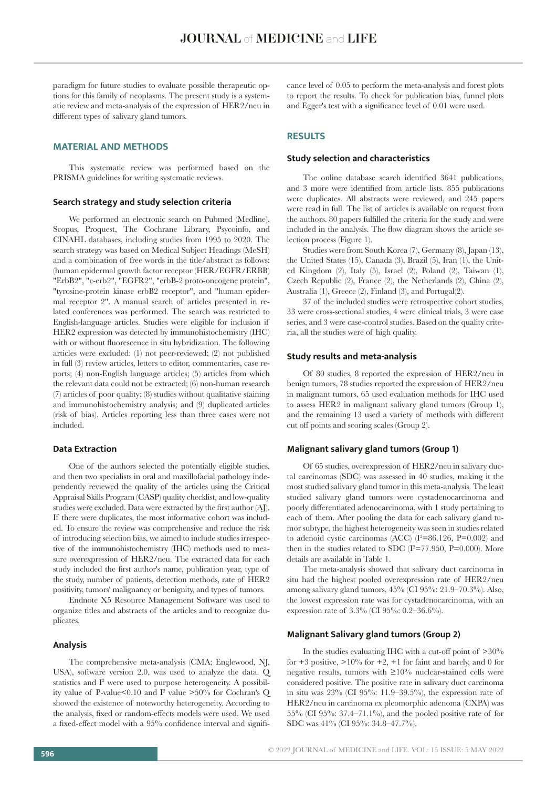paradigm for future studies to evaluate possible therapeutic options for this family of neoplasms. The present study is a systematic review and meta-analysis of the expression of HER2/neu in different types of salivary gland tumors.

# **MATERIAL AND METHODS**

This systematic review was performed based on the PRISMA guidelines for writing systematic reviews.

# **Search strategy and study selection criteria**

We performed an electronic search on Pubmed (Medline), Scopus, Proquest, The Cochrane Library, Psycoinfo, and CINAHL databases, including studies from 1995 to 2020. The search strategy was based on Medical Subject Headings (MeSH) and a combination of free words in the title/abstract as follows: (human epidermal growth factor receptor (HER/EGFR/ERBB) "ErbB2", "c-erb2", "EGFR2", "erbB-2 proto-oncogene protein", "tyrosine-protein kinase erbB2 receptor", and "human epidermal receptor 2". A manual search of articles presented in related conferences was performed. The search was restricted to English-language articles. Studies were eligible for inclusion if HER2 expression was detected by immunohistochemistry (IHC) with or without fluorescence in situ hybridization. The following articles were excluded: (1) not peer-reviewed; (2) not published in full (3) review articles, letters to editor, commentaries, case reports; (4) non-English language articles; (5) articles from which the relevant data could not be extracted; (6) non-human research (7) articles of poor quality; (8) studies without qualitative staining and immunohistochemistry analysis; and (9) duplicated articles (risk of bias). Articles reporting less than three cases were not included.

#### **Data Extraction**

One of the authors selected the potentially eligible studies, and then two specialists in oral and maxillofacial pathology independently reviewed the quality of the articles using the Critical Appraisal Skills Program (CASP) quality checklist, and low-quality studies were excluded. Data were extracted by the first author (AJ). If there were duplicates, the most informative cohort was included. To ensure the review was comprehensive and reduce the risk of introducing selection bias, we aimed to include studies irrespective of the immunohistochemistry (IHC) methods used to measure overexpression of HER2/neu. The extracted data for each study included the first author's name, publication year, type of the study, number of patients, detection methods, rate of HER2 positivity, tumors' malignancy or benignity, and types of tumors.

Endnote X5 Resource Management Software was used to organize titles and abstracts of the articles and to recognize duplicates.

#### **Analysis**

The comprehensive meta-analysis (CMA; Englewood, NJ, USA), software version 2.0, was used to analyze the data. Q statistics and I<sup>2</sup> were used to purpose heterogeneity. A possibility value of P-value<0.10 and  $I^2$  value >50% for Cochran's Q showed the existence of noteworthy heterogeneity. According to the analysis, fixed or random-effects models were used. We used a fixed-effect model with a 95% confidence interval and significance level of 0.05 to perform the meta-analysis and forest plots to report the results. To check for publication bias, funnel plots and Egger's test with a significance level of 0.01 were used.

#### **RESULTS**

# **Study selection and characteristics**

The online database search identified 3641 publications, and 3 more were identified from article lists. 855 publications were duplicates. All abstracts were reviewed, and 245 papers were read in full. The list of articles is available on request from the authors. 80 papers fulfilled the criteria for the study and were included in the analysis. The flow diagram shows the article selection process (Figure 1).

Studies were from South Korea (7), Germany (8), Japan (13), the United States (15), Canada (3), Brazil (5), Iran (1), the United Kingdom (2), Italy (5), Israel (2), Poland (2), Taiwan (1), Czech Republic (2), France (2), the Netherlands (2), China (2), Australia (1), Greece (2), Finland (3), and Portugal(2).

37 of the included studies were retrospective cohort studies, 33 were cross-sectional studies, 4 were clinical trials, 3 were case series, and 3 were case-control studies. Based on the quality criteria, all the studies were of high quality.

#### **Study results and meta-analysis**

Of 80 studies, 8 reported the expression of HER2/neu in benign tumors, 78 studies reported the expression of HER2/neu in malignant tumors, 65 used evaluation methods for IHC used to assess HER2 in malignant salivary gland tumors (Group 1), and the remaining 13 used a variety of methods with different cut off points and scoring scales (Group 2).

# **Malignant salivary gland tumors (Group 1)**

Of 65 studies, overexpression of HER2/neu in salivary ductal carcinomas (SDC) was assessed in 40 studies, making it the most studied salivary gland tumor in this meta-analysis. The least studied salivary gland tumors were cystadenocarcinoma and poorly differentiated adenocarcinoma, with 1 study pertaining to each of them. After pooling the data for each salivary gland tumor subtype, the highest heterogeneity was seen in studies related to adenoid cystic carcinomas (ACC)  $(I^2=86.126, P=0.002)$  and then in the studies related to SDC  $(I^2=77.950, P=0.000)$ . More details are available in Table 1.

The meta-analysis showed that salivary duct carcinoma in situ had the highest pooled overexpression rate of HER2/neu among salivary gland tumors, 45% (CI 95%: 21.9–70.3%). Also, the lowest expression rate was for cystadenocarcinoma, with an expression rate of 3.3% (CI 95%: 0.2–36.6%).

#### **Malignant Salivary gland tumors (Group 2)**

In the studies evaluating IHC with a cut-off point of  $>30\%$ for  $+3$  positive,  $>10\%$  for  $+2$ ,  $+1$  for faint and barely, and 0 for negative results, tumors with  $\geq 10\%$  nuclear-stained cells were considered positive. The positive rate in salivary duct carcinoma in situ was  $23\%$  (CI 95%: 11.9–39.5%), the expression rate of HER2/neu in carcinoma ex pleomorphic adenoma (CXPA) was 55% (CI 95%: 37.4–71.1%), and the pooled positive rate of for SDC was 41% (CI 95%: 34.8–47.7%).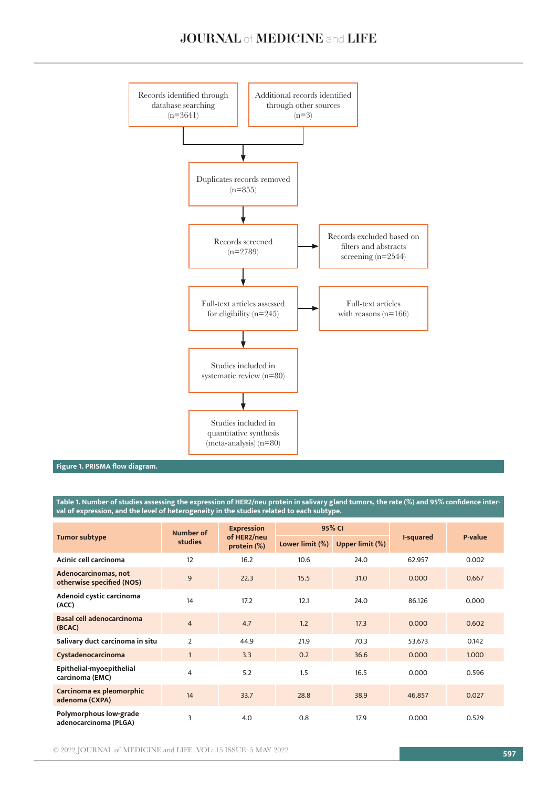

**Figure 1. PRISMA flow diagram.**

**Table 1. Number of studies assessing the expression of HER2/neu protein in salivary gland tumors, the rate (%) and 95% confidence interval of expression, and the level of heterogeneity in the studies related to each subtype.**

| <b>Tumor subtype</b>                              | Number of<br>studies | <b>Expression</b><br>of HER2/neu<br>protein $(\%)$ | 95% CI          |                        |           |         |
|---------------------------------------------------|----------------------|----------------------------------------------------|-----------------|------------------------|-----------|---------|
|                                                   |                      |                                                    | Lower limit (%) | <b>Upper limit (%)</b> | I-squared | P-value |
| Acinic cell carcinoma                             | 12                   | 16.2                                               | 10.6            | 24.0                   | 62.957    | 0.002   |
| Adenocarcinomas, not<br>otherwise specified (NOS) | $\overline{9}$       | 22.3                                               | 15.5            | 31.0                   | 0.000     | 0.667   |
| Adenoid cystic carcinoma<br>(ACC)                 | 14                   | 17.2                                               | 12.1            | 24.0                   | 86.126    | 0.000   |
| <b>Basal cell adenocarcinoma</b><br>(BCAC)        | $\overline{4}$       | 4.7                                                | 1.2             | 17.3                   | 0.000     | 0.602   |
| Salivary duct carcinoma in situ                   | $\overline{2}$       | 44.9                                               | 21.9            | 70.3                   | 53.673    | 0.142   |
| Cystadenocarcinoma                                | $\mathbf{1}$         | 3.3                                                | 0.2             | 36.6                   | 0.000     | 1.000   |
| Epithelial-myoepithelial<br>carcinoma (EMC)       | $\overline{4}$       | 5.2                                                | 1.5             | 16.5                   | 0.000     | 0.596   |
| Carcinoma ex pleomorphic<br>adenoma (CXPA)        | 14                   | 33.7                                               | 28.8            | 38.9                   | 46.857    | 0.027   |
| Polymorphous low-grade<br>adenocarcinoma (PLGA)   | 3                    | 4.0                                                | 0.8             | 17.9                   | 0.000     | 0.529   |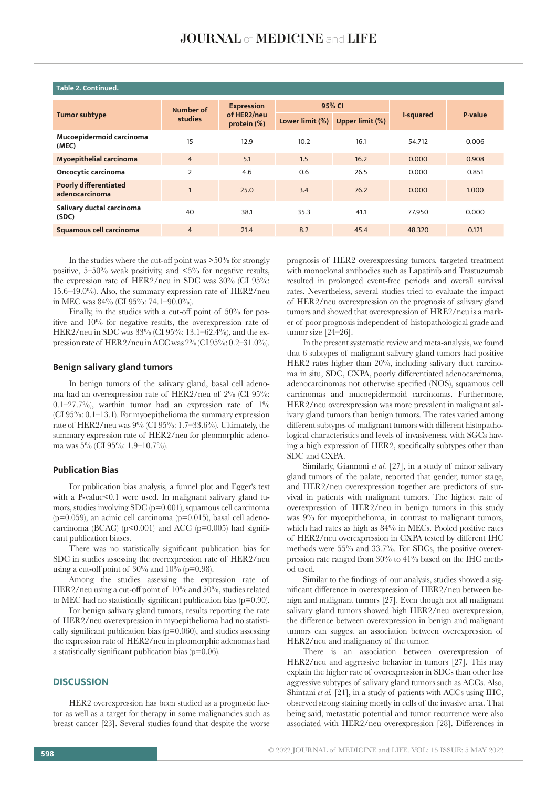| Table 2. Continued.                            |                      |                                                 |                 |                 |           |         |  |  |  |  |
|------------------------------------------------|----------------------|-------------------------------------------------|-----------------|-----------------|-----------|---------|--|--|--|--|
| <b>Tumor subtype</b>                           | Number of<br>studies | <b>Expression</b><br>of HER2/neu<br>protein (%) | 95% CI          |                 |           |         |  |  |  |  |
|                                                |                      |                                                 | Lower limit (%) | Upper limit (%) | I-squared | P-value |  |  |  |  |
| Mucoepidermoid carcinoma<br>(MEC)              | 15                   | 12.9                                            | 10.2            | 16.1            | 54.712    | 0.006   |  |  |  |  |
| Myoepithelial carcinoma                        | $\overline{4}$       | 5.1                                             | 1.5             | 16.2            | 0.000     | 0.908   |  |  |  |  |
| Oncocytic carcinoma                            | $\overline{2}$       | 4.6                                             | 0.6             | 26.5            | 0.000     | 0.851   |  |  |  |  |
| <b>Poorly differentiated</b><br>adenocarcinoma |                      | 25.0                                            | 3.4             | 76.2            | 0.000     | 1.000   |  |  |  |  |
| Salivary ductal carcinoma<br>(SDC)             | 40                   | 38.1                                            | 35.3            | 41.1            | 77.950    | 0.000   |  |  |  |  |
| Squamous cell carcinoma                        | $\overline{4}$       | 21.4                                            | 8.2             | 45.4            | 48.320    | 0.121   |  |  |  |  |
|                                                |                      |                                                 |                 |                 |           |         |  |  |  |  |

#### **Table 2. Continued.**

In the studies where the cut-off point was >50% for strongly positive,  $5-50\%$  weak positivity, and  $\lt5\%$  for negative results, the expression rate of HER2/neu in SDC was 30% (CI 95%: 15.6–49.0%). Also, the summary expression rate of HER2/neu in MEC was 84% (CI 95%: 74.1–90.0%).

Finally, in the studies with a cut-off point of 50% for positive and 10% for negative results, the overexpression rate of HER2/neu in SDC was 33% (CI 95%: 13.1–62.4%), and the expression rate of HER2/neu in ACC was 2% (CI 95%: 0.2–31.0%).

# **Benign salivary gland tumors**

In benign tumors of the salivary gland, basal cell adenoma had an overexpression rate of HER2/neu of 2% (CI 95%:  $0.1-27.7\%$ , warthin tumor had an expression rate of  $1\%$ (CI 95%: 0.1–13.1). For myoepithelioma the summary expression rate of HER2/neu was 9% (CI 95%: 1.7–33.6%). Ultimately, the summary expression rate of HER2/neu for pleomorphic adenoma was 5% (CI 95%: 1.9–10.7%).

#### **Publication Bias**

For publication bias analysis, a funnel plot and Egger's test with a P-value<0.1 were used. In malignant salivary gland tumors, studies involving SDC (p=0.001), squamous cell carcinoma  $(p=0.059)$ , an acinic cell carcinoma  $(p=0.015)$ , basal cell adenocarcinoma (BCAC) ( $p<0.001$ ) and ACC ( $p=0.005$ ) had significant publication biases.

There was no statistically significant publication bias for SDC in studies assessing the overexpression rate of HER2/neu using a cut-off point of  $30\%$  and  $10\%$  (p=0.98).

Among the studies assessing the expression rate of HER2/neu using a cut-off point of 10% and 50%, studies related to MEC had no statistically significant publication bias (p=0.90).

For benign salivary gland tumors, results reporting the rate of HER2/neu overexpression in myoepithelioma had no statistically significant publication bias (p=0.060), and studies assessing the expression rate of HER2/neu in pleomorphic adenomas had a statistically significant publication bias (p=0.06).

#### **DISCUSSION**

HER2 overexpression has been studied as a prognostic factor as well as a target for therapy in some malignancies such as breast cancer [23]. Several studies found that despite the worse prognosis of HER2 overexpressing tumors, targeted treatment with monoclonal antibodies such as Lapatinib and Trastuzumab resulted in prolonged event-free periods and overall survival rates. Nevertheless, several studies tried to evaluate the impact of HER2/neu overexpression on the prognosis of salivary gland tumors and showed that overexpression of HRE2/neu is a marker of poor prognosis independent of histopathological grade and tumor size [24–26].

In the present systematic review and meta-analysis, we found that 6 subtypes of malignant salivary gland tumors had positive HER2 rates higher than 20%, including salivary duct carcinoma in situ, SDC, CXPA, poorly differentiated adenocarcinoma, adenocarcinomas not otherwise specified (NOS), squamous cell carcinomas and mucoepidermoid carcinomas. Furthermore, HER2/neu overexpression was more prevalent in malignant salivary gland tumors than benign tumors. The rates varied among different subtypes of malignant tumors with different histopathological characteristics and levels of invasiveness, with SGCs having a high expression of HER2, specifically subtypes other than SDC and CXPA.

Similarly, Giannoni *et al.* [27], in a study of minor salivary gland tumors of the palate, reported that gender, tumor stage, and HER2/neu overexpression together are predictors of survival in patients with malignant tumors. The highest rate of overexpression of HER2/neu in benign tumors in this study was  $9\%$  for myoepithelioma, in contrast to malignant tumors, which had rates as high as 84% in MECs. Pooled positive rates of HER2/neu overexpression in CXPA tested by different IHC methods were 55% and 33.7%. For SDCs, the positive overexpression rate ranged from 30% to 41% based on the IHC method used.

Similar to the findings of our analysis, studies showed a significant difference in overexpression of HER2/neu between benign and malignant tumors [27]. Even though not all malignant salivary gland tumors showed high HER2/neu overexpression, the difference between overexpression in benign and malignant tumors can suggest an association between overexpression of HER2/neu and malignancy of the tumor.

There is an association between overexpression of HER2/neu and aggressive behavior in tumors [27]. This may explain the higher rate of overexpression in SDCs than other less aggressive subtypes of salivary gland tumors such as ACCs. Also, Shintani *et al.* [21], in a study of patients with ACCs using IHC, observed strong staining mostly in cells of the invasive area. That being said, metastatic potential and tumor recurrence were also associated with HER2/neu overexpression [28]. Differences in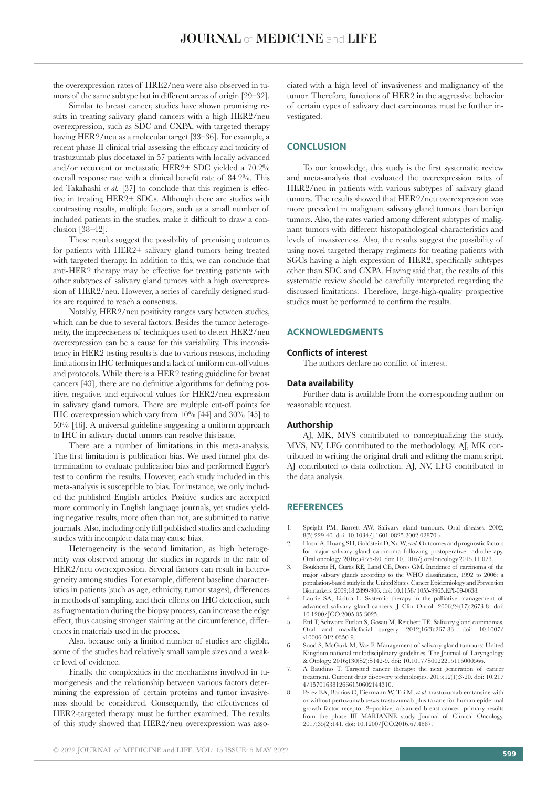the overexpression rates of HRE2/neu were also observed in tumors of the same subtype but in different areas of origin [29–32].

Similar to breast cancer, studies have shown promising results in treating salivary gland cancers with a high HER2/neu overexpression, such as SDC and CXPA, with targeted therapy having HER2/neu as a molecular target [33–36]. For example, a recent phase II clinical trial assessing the efficacy and toxicity of trastuzumab plus docetaxel in 57 patients with locally advanced and/or recurrent or metastatic HER2+ SDC yielded a 70.2% overall response rate with a clinical benefit rate of 84.2%. This led Takahashi *et al.* [37] to conclude that this regimen is effective in treating HER2+ SDCs. Although there are studies with contrasting results, multiple factors, such as a small number of included patients in the studies, make it difficult to draw a conclusion [38–42].

These results suggest the possibility of promising outcomes for patients with HER2+ salivary gland tumors being treated with targeted therapy. In addition to this, we can conclude that anti-HER2 therapy may be effective for treating patients with other subtypes of salivary gland tumors with a high overexpression of HER2/neu. However, a series of carefully designed studies are required to reach a consensus.

Notably, HER2/neu positivity ranges vary between studies, which can be due to several factors. Besides the tumor heterogeneity, the impreciseness of techniques used to detect HER2/neu overexpression can be a cause for this variability. This inconsistency in HER2 testing results is due to various reasons, including limitations in IHC techniques and a lack of uniform cut-off values and protocols. While there is a HER2 testing guideline for breast cancers [43], there are no definitive algorithms for defining positive, negative, and equivocal values for HER2/neu expression in salivary gland tumors. There are multiple cut-off points for IHC overexpression which vary from 10% [44] and 30% [45] to 50% [46]. A universal guideline suggesting a uniform approach to IHC in salivary ductal tumors can resolve this issue.

There are a number of limitations in this meta-analysis. The first limitation is publication bias. We used funnel plot determination to evaluate publication bias and performed Egger's test to confirm the results. However, each study included in this meta-analysis is susceptible to bias. For instance, we only included the published English articles. Positive studies are accepted more commonly in English language journals, yet studies yielding negative results, more often than not, are submitted to native journals. Also, including only full published studies and excluding studies with incomplete data may cause bias.

Heterogeneity is the second limitation, as high heterogeneity was observed among the studies in regards to the rate of HER2/neu overexpression. Several factors can result in heterogeneity among studies. For example, different baseline characteristics in patients (such as age, ethnicity, tumor stages), differences in methods of sampling, and their effects on IHC detection, such as fragmentation during the biopsy process, can increase the edge effect, thus causing stronger staining at the circumference, differences in materials used in the process.

Also, because only a limited number of studies are eligible, some of the studies had relatively small sample sizes and a weaker level of evidence.

Finally, the complexities in the mechanisms involved in tumorigenesis and the relationship between various factors determining the expression of certain proteins and tumor invasiveness should be considered. Consequently, the effectiveness of HER2-targeted therapy must be further examined. The results of this study showed that HER2/neu overexpression was associated with a high level of invasiveness and malignancy of the tumor. Therefore, functions of HER2 in the aggressive behavior of certain types of salivary duct carcinomas must be further investigated.

#### **CONCLUSION**

To our knowledge, this study is the first systematic review and meta-analysis that evaluated the overexpression rates of HER2/neu in patients with various subtypes of salivary gland tumors. The results showed that HER2/neu overexpression was more prevalent in malignant salivary gland tumors than benign tumors. Also, the rates varied among different subtypes of malignant tumors with different histopathological characteristics and levels of invasiveness. Also, the results suggest the possibility of using novel targeted therapy regimens for treating patients with SGCs having a high expression of HER2, specifically subtypes other than SDC and CXPA. Having said that, the results of this systematic review should be carefully interpreted regarding the discussed limitations. Therefore, large-high-quality prospective studies must be performed to confirm the results.

# **ACKNOWLEDGMENTS**

#### **Conflicts of interest**

The authors declare no conflict of interest.

#### **Data availability**

Further data is available from the corresponding author on reasonable request.

# **Authorship**

AJ, MK, MVS contributed to conceptualizing the study. MVS, NV, LFG contributed to the methodology. AJ, MK contributed to writing the original draft and editing the manuscript. AJ contributed to data collection. AJ, NV, LFG contributed to the data analysis.

# **REFERENCES**

- 1. Speight PM, Barrett AW. Salivary gland tumours. Oral diseases. 2002; 8(5):229-40. doi: 10.1034/j.1601-0825.2002.02870.x.
- 2. Hosni A, Huang SH, Goldstein D, Xu W, *et al.* Outcomes and prognostic factors for major salivary gland carcinoma following postoperative radiotherapy. Oral oncology. 2016;54:75-80. doi: 10.1016/j.oraloncology.2015.11.023.
- 3. Boukheris H, Curtis RE, Land CE, Dores GM. Incidence of carcinoma of the major salivary glands according to the WHO classification, 1992 to 2006: a population-based study in the United States. Cancer Epidemiology and Prevention Biomarkers. 2009;18:2899-906. doi: 10.1158/1055-9965.EPI-09-0638.
- 4. Laurie SA, Licitra L. Systemic therapy in the palliative management of advanced salivary gland cancers. J Clin Oncol. 2006;24(17):2673-8. doi: 10.1200/JCO.2005.05.3025.
- 5. Ettl T, Schwarz-Furlan S, Gosau M, Reichert TE. Salivary gland carcinomas. Oral and maxillofacial surgery. 2012;16(3):267-83. doi: 10.1007/ s10006-012-0350-9.
- 6. Sood S, McGurk M, Vaz F. Management of salivary gland tumours: United Kingdom national multidisciplinary guidelines. The Journal of Laryngology & Otology. 2016;130(S2):S142-9. doi: 10.1017/S0022215116000566.
- 7. A Baudino T. Targeted cancer therapy: the next generation of cancer treatment. Current drug discovery technologies. 2015;12(1):3-20. doi: 10.217 4/1570163812666150602144310.
- 8. Perez EA, Barrios C, Eiermann W, Toi M, *et al.* trastuzumab emtansine with or without pertuzumab *versus* trastuzumab plus taxane for human epidermal growth factor receptor 2–positive, advanced breast cancer: primary results from the phase III MARIANNE study. Journal of Clinical Oncology. 2017;35(2):141. doi: 10.1200/JCO.2016.67.4887.